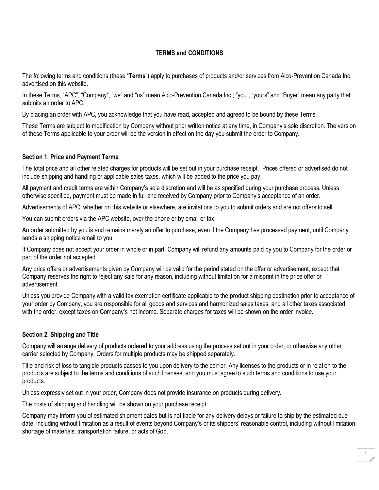## **TERMS and CONDITIONS**

The following terms and conditions (these "**Terms**") apply to purchases of products and/or services from Alco-Prevention Canada Inc. advertised on this website.

In these Terms, "APC", "Company", "we" and "us" mean Alco-Prevention Canada Inc.; "you", "yours" and "Buyer" mean any party that submits an order to APC.

By placing an order with APC, you acknowledge that you have read, accepted and agreed to be bound by these Terms.

These Terms are subject to modification by Company without prior written notice at any time, in Company's sole discretion. The version of these Terms applicable to your order will be the version in effect on the day you submit the order to Company.

## **Section 1. Price and Payment Terms**

The total price and all other related charges for products will be set out in your purchase receipt. Prices offered or advertised do not include shipping and handling or applicable sales taxes, which will be added to the price you pay.

All payment and credit terms are within Company's sole discretion and will be as specified during your purchase process. Unless otherwise specified, payment must be made in full and received by Company prior to Company's acceptance of an order.

Advertisements of APC, whether on this website or elsewhere, are invitations to you to submit orders and are not offers to sell.

You can submit orders via the APC website, over the phone or by email or fax.

An order submitted by you is and remains merely an offer to purchase, even if the Company has processed payment, until Company sends a shipping notice email to you.

If Company does not accept your order in whole or in part, Company will refund any amounts paid by you to Company for the order or part of the order not accepted.

Any price offers or advertisements given by Company will be valid for the period stated on the offer or advertisement, except that Company reserves the right to reject any sale for any reason, including without limitation for a misprint in the price offer or advertisement.

Unless you provide Company with a valid tax exemption certificate applicable to the product shipping destination prior to acceptance of your order by Company, you are responsible for all goods and services and harmonized sales taxes, and all other taxes associated with the order, except taxes on Company's net income. Separate charges for taxes will be shown on the order invoice.

## **Section 2. Shipping and Title**

Company will arrange delivery of products ordered to your address using the process set out in your order, or otherwise any other carrier selected by Company. Orders for multiple products may be shipped separately.

Title and risk of loss to tangible products passes to you upon delivery to the carrier. Any licenses to the products or in relation to the products are subject to the terms and conditions of such licenses, and you must agree to such terms and conditions to use your products.

Unless expressly set out in your order, Company does not provide insurance on products during delivery.

The costs of shipping and handling will be shown on your purchase receipt.

Company may inform you of estimated shipment dates but is not liable for any delivery delays or failure to ship by the estimated due date, including without limitation as a result of events beyond Company's or its shippers' reasonable control, including without limitation shortage of materials, transportation failure, or acts of God.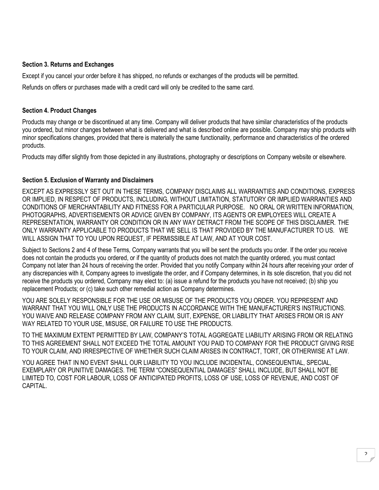#### **Section 3. Returns and Exchanges**

Except if you cancel your order before it has shipped, no refunds or exchanges of the products will be permitted.

Refunds on offers or purchases made with a credit card will only be credited to the same card.

#### **Section 4. Product Changes**

Products may change or be discontinued at any time. Company will deliver products that have similar characteristics of the products you ordered, but minor changes between what is delivered and what is described online are possible. Company may ship products with minor specifications changes, provided that there is materially the same functionality, performance and characteristics of the ordered products.

Products may differ slightly from those depicted in any illustrations, photography or descriptions on Company website or elsewhere.

## **Section 5. Exclusion of Warranty and Disclaimers**

EXCEPT AS EXPRESSLY SET OUT IN THESE TERMS, COMPANY DISCLAIMS ALL WARRANTIES AND CONDITIONS, EXPRESS OR IMPLIED, IN RESPECT OF PRODUCTS, INCLUDING, WITHOUT LIMITATION, STATUTORY OR IMPLIED WARRANTIES AND CONDITIONS OF MERCHANTABILITY AND FITNESS FOR A PARTICULAR PURPOSE. NO ORAL OR WRITTEN INFORMATION, PHOTOGRAPHS, ADVERTISEMENTS OR ADVICE GIVEN BY COMPANY, ITS AGENTS OR EMPLOYEES WILL CREATE A REPRESENTATION, WARRANTY OR CONDITION OR IN ANY WAY DETRACT FROM THE SCOPE OF THIS DISCLAIMER. THE ONLY WARRANTY APPLICABLE TO PRODUCTS THAT WE SELL IS THAT PROVIDED BY THE MANUFACTURER TO US. WE WILL ASSIGN THAT TO YOU UPON REQUEST, IF PERMISSIBLE AT LAW, AND AT YOUR COST.

Subject to Sections 2 and 4 of these Terms, Company warrants that you will be sent the products you order. If the order you receive does not contain the products you ordered, or if the quantity of products does not match the quantity ordered, you must contact Company not later than 24 hours of receiving the order. Provided that you notify Company within 24 hours after receiving your order of any discrepancies with it, Company agrees to investigate the order, and if Company determines, in its sole discretion, that you did not receive the products you ordered, Company may elect to: (a) issue a refund for the products you have not received; (b) ship you replacement Products; or (c) take such other remedial action as Company determines.

YOU ARE SOLELY RESPONSIBLE FOR THE USE OR MISUSE OF THE PRODUCTS YOU ORDER. YOU REPRESENT AND WARRANT THAT YOU WILL ONLY USE THE PRODUCTS IN ACCORDANCE WITH THE MANUFACTURER'S INSTRUCTIONS. YOU WAIVE AND RELEASE COMPANY FROM ANY CLAIM, SUIT, EXPENSE, OR LIABILITY THAT ARISES FROM OR IS ANY WAY RELATED TO YOUR USE, MISUSE, OR FAILURE TO USE THE PRODUCTS.

TO THE MAXIMUM EXTENT PERMITTED BY LAW, COMPANY'S TOTAL AGGREGATE LIABILITY ARISING FROM OR RELATING TO THIS AGREEMENT SHALL NOT EXCEED THE TOTAL AMOUNT YOU PAID TO COMPANY FOR THE PRODUCT GIVING RISE TO YOUR CLAIM, AND IRRESPECTIVE OF WHETHER SUCH CLAIM ARISES IN CONTRACT, TORT, OR OTHERWISE AT LAW.

YOU AGREE THAT IN NO EVENT SHALL OUR LIABILITY TO YOU INCLUDE INCIDENTAL, CONSEQUENTIAL, SPECIAL, EXEMPLARY OR PUNITIVE DAMAGES. THE TERM "CONSEQUENTIAL DAMAGES" SHALL INCLUDE, BUT SHALL NOT BE LIMITED TO, COST FOR LABOUR, LOSS OF ANTICIPATED PROFITS, LOSS OF USE, LOSS OF REVENUE, AND COST OF CAPITAL.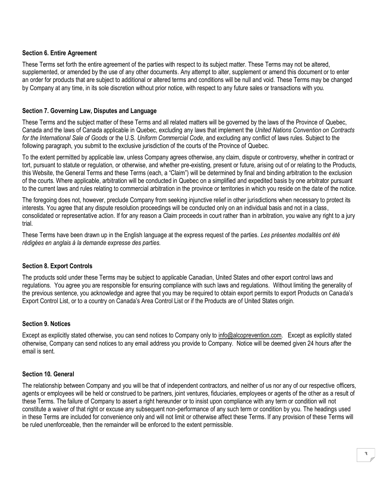## **Section 6. Entire Agreement**

These Terms set forth the entire agreement of the parties with respect to its subject matter. These Terms may not be altered, supplemented, or amended by the use of any other documents. Any attempt to alter, supplement or amend this document or to enter an order for products that are subject to additional or altered terms and conditions will be null and void. These Terms may be changed by Company at any time, in its sole discretion without prior notice, with respect to any future sales or transactions with you.

#### **Section 7. Governing Law, Disputes and Language**

These Terms and the subject matter of these Terms and all related matters will be governed by the laws of the Province of Quebec, Canada and the laws of Canada applicable in Quebec, excluding any laws that implement the *United Nations Convention on Contracts for the International Sale of Goods* or the U.S. *Uniform Commercial Code*, and excluding any conflict of laws rules. Subject to the following paragraph, you submit to the exclusive jurisdiction of the courts of the Province of Quebec.

To the extent permitted by applicable law, unless Company agrees otherwise, any claim, dispute or controversy, whether in contract or tort, pursuant to statute or regulation, or otherwise, and whether pre-existing, present or future, arising out of or relating to the Products, this Website, the General Terms and these Terms (each, a "Claim") will be determined by final and binding arbitration to the exclusion of the courts. Where applicable, arbitration will be conducted in Quebec on a simplified and expedited basis by one arbitrator pursuant to the current laws and rules relating to commercial arbitration in the province or territories in which you reside on the date of the notice.

The foregoing does not, however, preclude Company from seeking injunctive relief in other jurisdictions when necessary to protect its interests. You agree that any dispute resolution proceedings will be conducted only on an individual basis and not in a class, consolidated or representative action. If for any reason a Claim proceeds in court rather than in arbitration, you waive any right to a jury trial.

These Terms have been drawn up in the English language at the express request of the parties. *Les présentes modalités ont été rédigées en anglais à la demande expresse des parties.*

## **Section 8. Export Controls**

The products sold under these Terms may be subject to applicable Canadian, United States and other export control laws and regulations. You agree you are responsible for ensuring compliance with such laws and regulations. Without limiting the generality of the previous sentence, you acknowledge and agree that you may be required to obtain export permits to export Products on Canada's Export Control List, or to a country on Canada's Area Control List or if the Products are of United States origin.

#### **Section 9. Notices**

Except as explicitly stated otherwise, you can send notices to Company only to [info@alcoprevention.com.](mailto:info@alcoprevention.com) Except as explicitly stated otherwise, Company can send notices to any email address you provide to Company. Notice will be deemed given 24 hours after the email is sent.

#### **Section 10. General**

The relationship between Company and you will be that of independent contractors, and neither of us nor any of our respective officers, agents or employees will be held or construed to be partners, joint ventures, fiduciaries, employees or agents of the other as a result of these Terms. The failure of Company to assert a right hereunder or to insist upon compliance with any term or condition will not constitute a waiver of that right or excuse any subsequent non-performance of any such term or condition by you. The headings used in these Terms are included for convenience only and will not limit or otherwise affect these Terms. If any provision of these Terms will be ruled unenforceable, then the remainder will be enforced to the extent permissible.